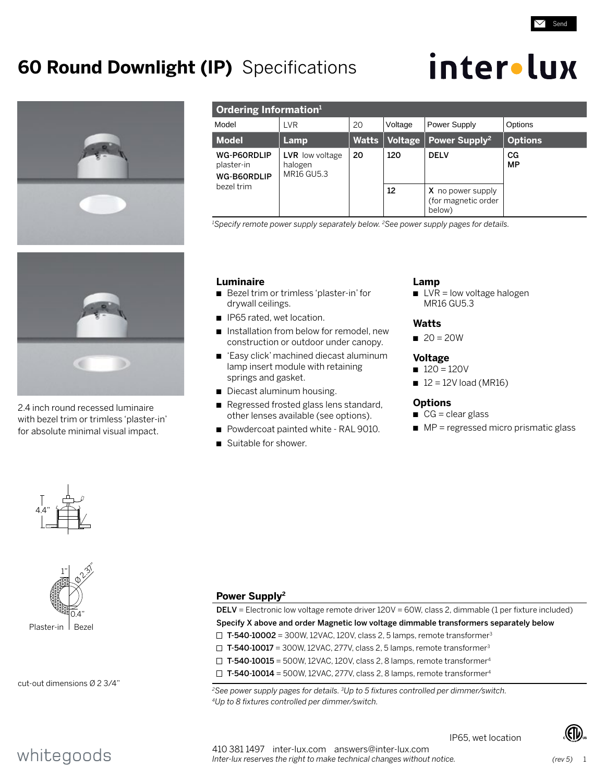## **60 Round Downlight (IP)** Specifications







2.4 inch round recessed luminaire with bezel trim or trimless 'plaster-in' for absolute minimal visual impact.

| Ordering Information <sup>1</sup>                      |                                                 |       |                |                                                    |                |  |  |
|--------------------------------------------------------|-------------------------------------------------|-------|----------------|----------------------------------------------------|----------------|--|--|
| Model                                                  | LVR                                             | 20    | Voltage        | Power Supply                                       | Options        |  |  |
| <b>Model</b>                                           | Lamp                                            | Watts | <b>Voltage</b> | Power Supply <sup>2</sup>                          | <b>Options</b> |  |  |
| WG-P60RDLIP<br>plaster-in<br>WG-B60RDLIP<br>bezel trim | <b>LVR</b> low voltage<br>halogen<br>MR16 GU5.3 | 20    | 120            | <b>DELV</b>                                        | CG<br>MP       |  |  |
|                                                        |                                                 |       | 12             | X no power supply<br>(for magnetic order<br>below) |                |  |  |

*1 Specify remote power supply separately below. 2See power supply pages for details.*

## **Luminaire**

- Bezel trim or trimless 'plaster-in' for drywall ceilings.
- **n** IP65 rated, wet location.
- n Installation from below for remodel, new construction or outdoor under canopy.
- 'Easy click' machined diecast aluminum lamp insert module with retaining springs and gasket.
- Diecast aluminum housing.
- Regressed frosted glass lens standard, other lenses available (see options).
- Powdercoat painted white RAL 9010.
- Suitable for shower.

#### **Lamp**

 $\blacksquare$  LVR = low voltage halogen MR16 GU5.3

### **Watts**

 $20 = 20W$ 

## **Voltage**

- $120 = 120V$
- $12 = 12V$  load (MR16)

### **Options**

- $CG = clear glass$
- $M =$  MP = regressed micro prismatic glass





cut-out dimensions Ø 2 3/4"

## **Power Supply2**

| DELV = Electronic low voltage remote driver 120V = 60W, class 2, dimmable (1 per fixture included) |  |  |  |  |
|----------------------------------------------------------------------------------------------------|--|--|--|--|
| Specify X above and order Magnetic low voltage dimmable transformers separately below              |  |  |  |  |
| $\Box$ T-540-10002 = 300W, 12VAC, 120V, class 2, 5 lamps, remote transformer <sup>3</sup>          |  |  |  |  |
| $\Box$ T-540-10017 = 300W, 12VAC, 277V, class 2, 5 lamps, remote transformer <sup>3</sup>          |  |  |  |  |
| $\Box$ T-540-10015 = 500W, 12VAC, 120V, class 2, 8 lamps, remote transformer <sup>4</sup>          |  |  |  |  |
| $\Box$ T-540-10014 = 500W, 12VAC, 277V, class 2, 8 lamps, remote transformer <sup>4</sup>          |  |  |  |  |
| $^2$ See power supply pages for details. $^3$ Up to 5 fixtures controlled per dimmer/switch.       |  |  |  |  |

*4Up to 8 fixtures controlled per dimmer/switch.*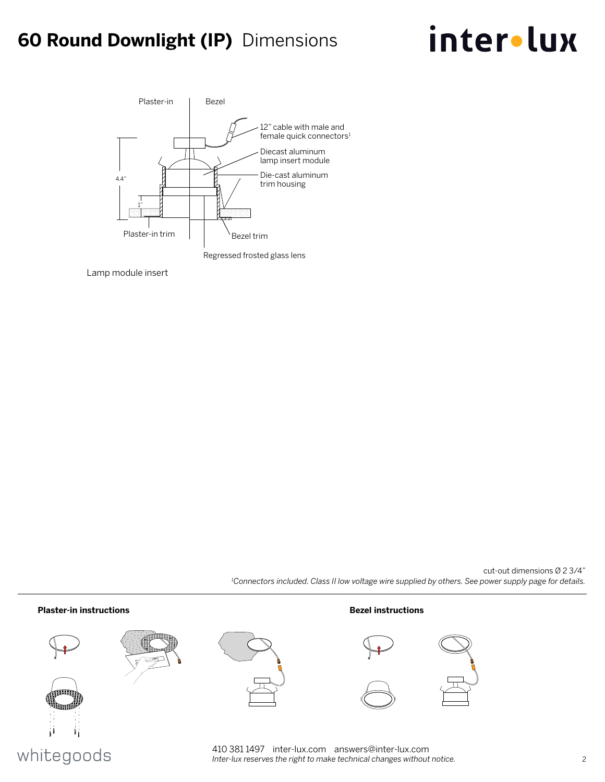## **60 Round Downlight (IP)** Dimensions

# inter•lux



Lamp module insert

cut-out dimensions Ø 2 3/4" *1 Connectors included. Class II low voltage wire supplied by others. See power supply page for details.*



## whitegoods

410 381 1497 inter-lux.com answers@inter-lux.com *Inter-lux reserves the right to make technical changes without notice.* 2